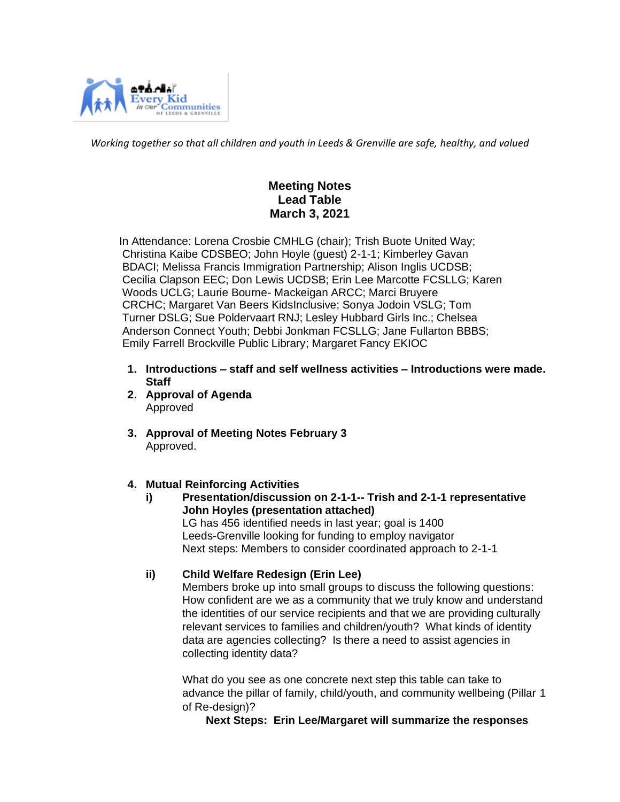

*Working together so that all children and youth in Leeds & Grenville are safe, healthy, and valued*

# **Meeting Notes Lead Table March 3, 2021**

 In Attendance: Lorena Crosbie CMHLG (chair); Trish Buote United Way; Christina Kaibe CDSBEO; John Hoyle (guest) 2-1-1; Kimberley Gavan BDACI; Melissa Francis Immigration Partnership; Alison Inglis UCDSB; Cecilia Clapson EEC; Don Lewis UCDSB; Erin Lee Marcotte FCSLLG; Karen Woods UCLG; Laurie Bourne- Mackeigan ARCC; Marci Bruyere CRCHC; Margaret Van Beers KidsInclusive; Sonya Jodoin VSLG; Tom Turner DSLG; Sue Poldervaart RNJ; Lesley Hubbard Girls Inc.; Chelsea Anderson Connect Youth; Debbi Jonkman FCSLLG; Jane Fullarton BBBS; Emily Farrell Brockville Public Library; Margaret Fancy EKIOC

- **1. Introductions – staff and self wellness activities – Introductions were made. Staff**
- **2. Approval of Agenda** Approved
- **3. Approval of Meeting Notes February 3** Approved.

## **4. Mutual Reinforcing Activities**

**i) Presentation/discussion on 2-1-1-- Trish and 2-1-1 representative John Hoyles (presentation attached)** LG has 456 identified needs in last year; goal is 1400 Leeds-Grenville looking for funding to employ navigator Next steps: Members to consider coordinated approach to 2-1-1

## **ii) Child Welfare Redesign (Erin Lee)**

Members broke up into small groups to discuss the following questions: How confident are we as a community that we truly know and understand the identities of our service recipients and that we are providing culturally relevant services to families and children/youth? What kinds of identity data are agencies collecting? Is there a need to assist agencies in collecting identity data?

What do you see as one concrete next step this table can take to advance the pillar of family, child/youth, and community wellbeing (Pillar 1 of Re-design)?

 **Next Steps: Erin Lee/Margaret will summarize the responses**